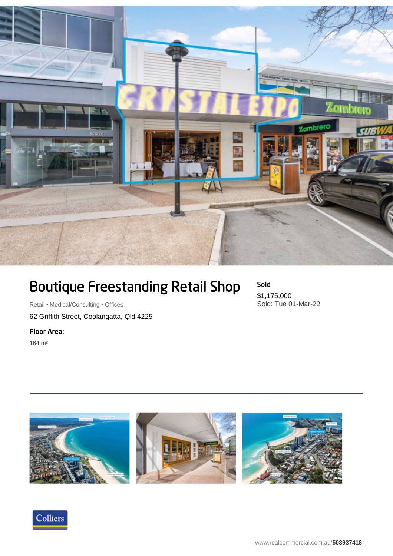

## Boutique Freestanding Retail Shop

Retail • Medical/Consulting • Offices 62 Griffith Street, Coolangatta, Qld 4225

Floor Area:

164 m²

Sold \$1,175,000 Sold: Tue 01-Mar-22